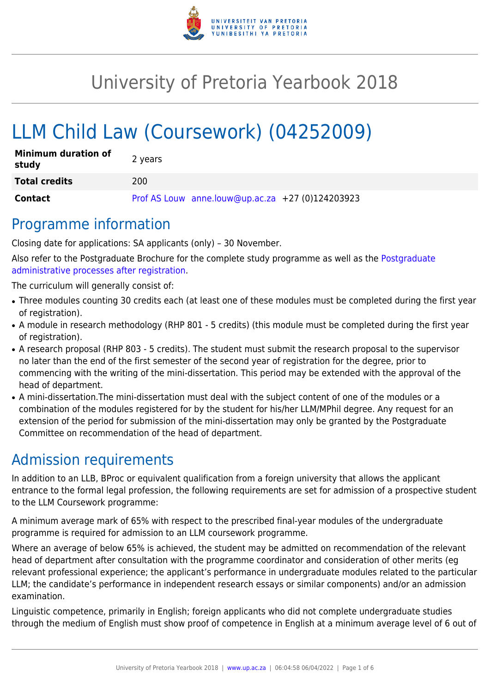

# University of Pretoria Yearbook 2018

# LLM Child Law (Coursework) (04252009)

| <b>Minimum duration of</b><br>study | 2 years                                          |
|-------------------------------------|--------------------------------------------------|
| <b>Total credits</b>                | 200                                              |
| <b>Contact</b>                      | Prof AS Louw anne.louw@up.ac.za +27 (0)124203923 |

## Programme information

Closing date for applications: SA applicants (only) – 30 November.

Also refer to the Postgraduate Brochure for the complete study programme as well as the [Postgraduate](http://www.up.ac.za/media/shared/10/ZP_Files/post-graduate-administrative-processes-brochures-for-the-faculty-web.zp124870.pdf) [administrative processes after registration.](http://www.up.ac.za/media/shared/10/ZP_Files/post-graduate-administrative-processes-brochures-for-the-faculty-web.zp124870.pdf)

The curriculum will generally consist of:

- Three modules counting 30 credits each (at least one of these modules must be completed during the first year of registration).
- A module in research methodology (RHP 801 5 credits) (this module must be completed during the first year of registration).
- A research proposal (RHP 803 5 credits). The student must submit the research proposal to the supervisor no later than the end of the first semester of the second year of registration for the degree, prior to commencing with the writing of the mini-dissertation. This period may be extended with the approval of the head of department.
- A mini-dissertation. The mini-dissertation must deal with the subject content of one of the modules or a combination of the modules registered for by the student for his/her LLM/MPhil degree. Any request for an extension of the period for submission of the mini-dissertation may only be granted by the Postgraduate Committee on recommendation of the head of department.

## Admission requirements

In addition to an LLB, BProc or equivalent qualification from a foreign university that allows the applicant entrance to the formal legal profession, the following requirements are set for admission of a prospective student to the LLM Coursework programme:

A minimum average mark of 65% with respect to the prescribed final-year modules of the undergraduate programme is required for admission to an LLM coursework programme.

Where an average of below 65% is achieved, the student may be admitted on recommendation of the relevant head of department after consultation with the programme coordinator and consideration of other merits (eg relevant professional experience; the applicant's performance in undergraduate modules related to the particular LLM; the candidate's performance in independent research essays or similar components) and/or an admission examination.

Linguistic competence, primarily in English; foreign applicants who did not complete undergraduate studies through the medium of English must show proof of competence in English at a minimum average level of 6 out of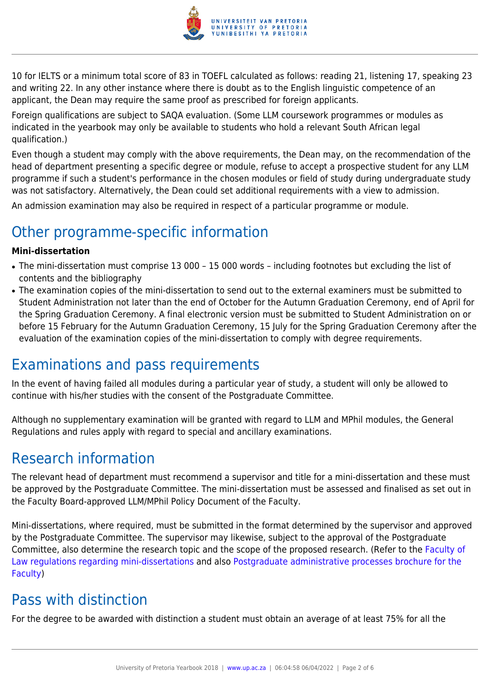

10 for IELTS or a minimum total score of 83 in TOEFL calculated as follows: reading 21, listening 17, speaking 23 and writing 22. In any other instance where there is doubt as to the English linguistic competence of an applicant, the Dean may require the same proof as prescribed for foreign applicants.

Foreign qualifications are subject to SAQA evaluation. (Some LLM coursework programmes or modules as indicated in the yearbook may only be available to students who hold a relevant South African legal qualification.)

Even though a student may comply with the above requirements, the Dean may, on the recommendation of the head of department presenting a specific degree or module, refuse to accept a prospective student for any LLM programme if such a student's performance in the chosen modules or field of study during undergraduate study was not satisfactory. Alternatively, the Dean could set additional requirements with a view to admission.

An admission examination may also be required in respect of a particular programme or module.

## Other programme-specific information

### **Mini-dissertation**

- The mini-dissertation must comprise 13 000 15 000 words including footnotes but excluding the list of contents and the bibliography
- The examination copies of the mini-dissertation to send out to the external examiners must be submitted to Student Administration not later than the end of October for the Autumn Graduation Ceremony, end of April for the Spring Graduation Ceremony. A final electronic version must be submitted to Student Administration on or before 15 February for the Autumn Graduation Ceremony, 15 July for the Spring Graduation Ceremony after the evaluation of the examination copies of the mini-dissertation to comply with degree requirements.

## Examinations and pass requirements

In the event of having failed all modules during a particular year of study, a student will only be allowed to continue with his/her studies with the consent of the Postgraduate Committee.

Although no supplementary examination will be granted with regard to LLM and MPhil modules, the General Regulations and rules apply with regard to special and ancillary examinations.

## Research information

The relevant head of department must recommend a supervisor and title for a mini-dissertation and these must be approved by the Postgraduate Committee. The mini-dissertation must be assessed and finalised as set out in the Faculty Board-approved LLM/MPhil Policy Document of the Faculty.

Mini-dissertations, where required, must be submitted in the format determined by the supervisor and approved by the Postgraduate Committee. The supervisor may likewise, subject to the approval of the Postgraduate Committee, also determine the research topic and the scope of the proposed research. (Refer to the [Faculty of](http://www.up.ac.za/media/shared/10/ZP_Files/faculty-regulations-for-the-mini-dissertation.zp124872.pdf) [Law regulations regarding mini-dissertations](http://www.up.ac.za/media/shared/10/ZP_Files/faculty-regulations-for-the-mini-dissertation.zp124872.pdf) and also [Postgraduate administrative processes brochure for the](http://www.up.ac.za/media/shared/10/ZP_Files/post-graduate-administrative-processes-brochures-for-the-faculty-web.zp124870.pdf) [Faculty](http://www.up.ac.za/media/shared/10/ZP_Files/post-graduate-administrative-processes-brochures-for-the-faculty-web.zp124870.pdf))

## Pass with distinction

For the degree to be awarded with distinction a student must obtain an average of at least 75% for all the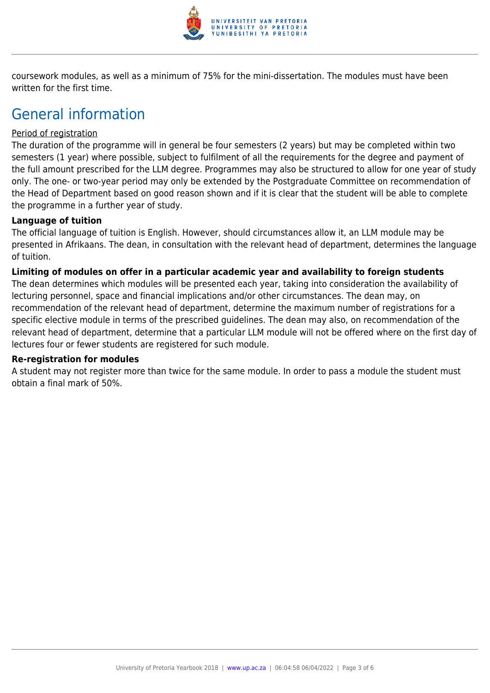

coursework modules, as well as a minimum of 75% for the mini-dissertation. The modules must have been written for the first time.

## General information

### Period of registration

The duration of the programme will in general be four semesters (2 years) but may be completed within two semesters (1 year) where possible, subject to fulfilment of all the requirements for the degree and payment of the full amount prescribed for the LLM degree. Programmes may also be structured to allow for one year of study only. The one- or two-year period may only be extended by the Postgraduate Committee on recommendation of the Head of Department based on good reason shown and if it is clear that the student will be able to complete the programme in a further year of study.

### **Language of tuition**

The official language of tuition is English. However, should circumstances allow it, an LLM module may be presented in Afrikaans. The dean, in consultation with the relevant head of department, determines the language of tuition.

### **Limiting of modules on offer in a particular academic year and availability to foreign students**

The dean determines which modules will be presented each year, taking into consideration the availability of lecturing personnel, space and financial implications and/or other circumstances. The dean may, on recommendation of the relevant head of department, determine the maximum number of registrations for a specific elective module in terms of the prescribed guidelines. The dean may also, on recommendation of the relevant head of department, determine that a particular LLM module will not be offered where on the first day of lectures four or fewer students are registered for such module.

#### **Re-registration for modules**

A student may not register more than twice for the same module. In order to pass a module the student must obtain a final mark of 50%.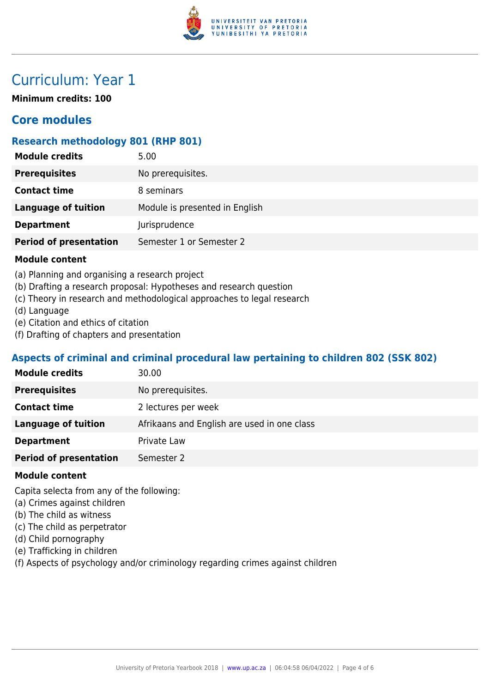

## Curriculum: Year 1

**Minimum credits: 100**

## **Core modules**

## **Research methodology 801 (RHP 801)**

| <b>Module credits</b>         | 5.00                           |
|-------------------------------|--------------------------------|
| <b>Prerequisites</b>          | No prerequisites.              |
| <b>Contact time</b>           | 8 seminars                     |
| <b>Language of tuition</b>    | Module is presented in English |
| <b>Department</b>             | Jurisprudence                  |
| <b>Period of presentation</b> | Semester 1 or Semester 2       |
| .                             |                                |

### **Module content**

- (a) Planning and organising a research project
- (b) Drafting a research proposal: Hypotheses and research question
- (c) Theory in research and methodological approaches to legal research
- (d) Language
- (e) Citation and ethics of citation
- (f) Drafting of chapters and presentation

## **Aspects of criminal and criminal procedural law pertaining to children 802 (SSK 802)**

| <b>Module credits</b>         | 30.00                                       |
|-------------------------------|---------------------------------------------|
| <b>Prerequisites</b>          | No prerequisites.                           |
| <b>Contact time</b>           | 2 lectures per week                         |
| Language of tuition           | Afrikaans and English are used in one class |
| <b>Department</b>             | Private Law                                 |
| <b>Period of presentation</b> | Semester 2                                  |
|                               |                                             |

#### **Module content**

Capita selecta from any of the following:

- (a) Crimes against children
- (b) The child as witness
- (c) The child as perpetrator
- (d) Child pornography
- (e) Trafficking in children
- (f) Aspects of psychology and/or criminology regarding crimes against children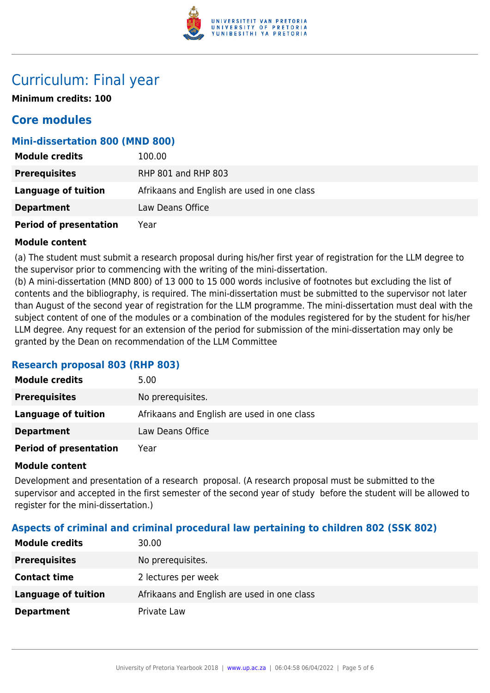

## Curriculum: Final year

**Minimum credits: 100**

## **Core modules**

## **Mini-dissertation 800 (MND 800)**

| <b>Module credits</b>         | 100.00                                      |
|-------------------------------|---------------------------------------------|
| <b>Prerequisites</b>          | <b>RHP 801 and RHP 803</b>                  |
| Language of tuition           | Afrikaans and English are used in one class |
| <b>Department</b>             | Law Deans Office                            |
| <b>Period of presentation</b> | Year                                        |

### **Module content**

(a) The student must submit a research proposal during his/her first year of registration for the LLM degree to the supervisor prior to commencing with the writing of the mini-dissertation.

(b) A mini-dissertation (MND 800) of 13 000 to 15 000 words inclusive of footnotes but excluding the list of contents and the bibliography, is required. The mini-dissertation must be submitted to the supervisor not later than August of the second year of registration for the LLM programme. The mini-dissertation must deal with the subject content of one of the modules or a combination of the modules registered for by the student for his/her LLM degree. Any request for an extension of the period for submission of the mini-dissertation may only be granted by the Dean on recommendation of the LLM Committee

## **Research proposal 803 (RHP 803)**

| <b>Module credits</b>         | 5.00                                        |
|-------------------------------|---------------------------------------------|
| <b>Prerequisites</b>          | No prerequisites.                           |
| Language of tuition           | Afrikaans and English are used in one class |
| <b>Department</b>             | Law Deans Office                            |
| <b>Period of presentation</b> | Year                                        |

### **Module content**

Development and presentation of a research proposal. (A research proposal must be submitted to the supervisor and accepted in the first semester of the second year of study before the student will be allowed to register for the mini-dissertation.)

## **Aspects of criminal and criminal procedural law pertaining to children 802 (SSK 802)**

| <b>Module credits</b> | 30.00                                       |
|-----------------------|---------------------------------------------|
| <b>Prerequisites</b>  | No prerequisites.                           |
| <b>Contact time</b>   | 2 lectures per week                         |
| Language of tuition   | Afrikaans and English are used in one class |
| <b>Department</b>     | Private Law                                 |